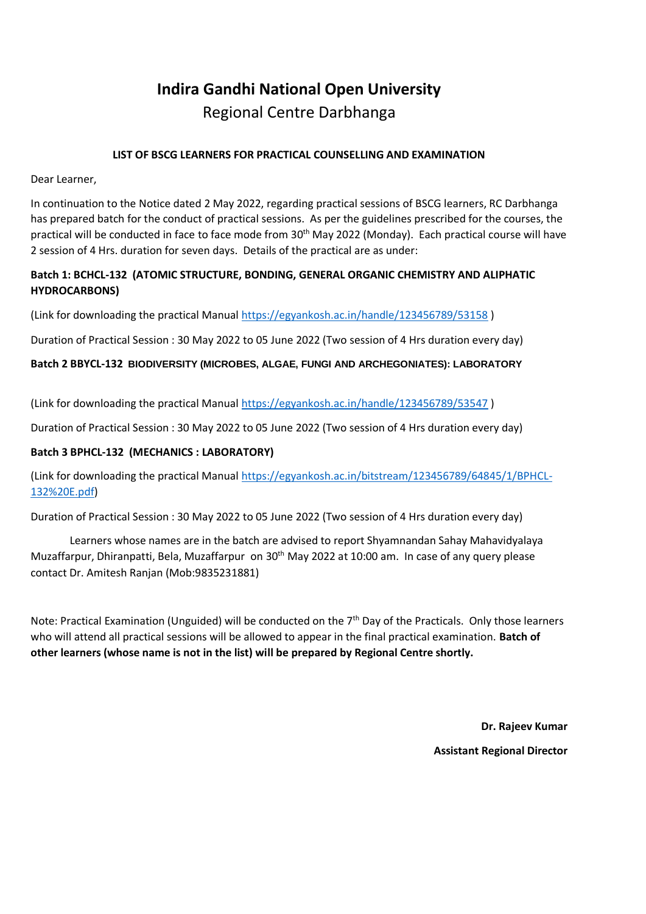# **Indira Gandhi National Open University**

Regional Centre Darbhanga

#### **LIST OF BSCG LEARNERS FOR PRACTICAL COUNSELLING AND EXAMINATION**

Dear Learner,

In continuation to the Notice dated 2 May 2022, regarding practical sessions of BSCG learners, RC Darbhanga has prepared batch for the conduct of practical sessions. As per the guidelines prescribed for the courses, the practical will be conducted in face to face mode from 30th May 2022 (Monday). Each practical course will have 2 session of 4 Hrs. duration for seven days. Details of the practical are as under:

### **Batch 1: BCHCL-132 (ATOMIC STRUCTURE, BONDING, GENERAL ORGANIC CHEMISTRY AND ALIPHATIC HYDROCARBONS)**

(Link for downloading the practical Manual<https://egyankosh.ac.in/handle/123456789/53158> )

Duration of Practical Session : 30 May 2022 to 05 June 2022 (Two session of 4 Hrs duration every day)

#### **Batch 2 BBYCL-132 BIODIVERSITY (MICROBES, ALGAE, FUNGI AND ARCHEGONIATES): LABORATORY**

(Link for downloading the practical Manual<https://egyankosh.ac.in/handle/123456789/53547> )

Duration of Practical Session : 30 May 2022 to 05 June 2022 (Two session of 4 Hrs duration every day)

#### **Batch 3 BPHCL-132 (MECHANICS : LABORATORY)**

(Link for downloading the practical Manual [https://egyankosh.ac.in/bitstream/123456789/64845/1/BPHCL-](https://egyankosh.ac.in/bitstream/123456789/64845/1/BPHCL-132%20E.pdf)[132%20E.pdf\)](https://egyankosh.ac.in/bitstream/123456789/64845/1/BPHCL-132%20E.pdf)

Duration of Practical Session : 30 May 2022 to 05 June 2022 (Two session of 4 Hrs duration every day)

Learners whose names are in the batch are advised to report Shyamnandan Sahay Mahavidyalaya Muzaffarpur, Dhiranpatti, Bela, Muzaffarpur on 30<sup>th</sup> May 2022 at 10:00 am. In case of any query please contact Dr. Amitesh Ranjan (Mob:9835231881)

Note: Practical Examination (Unguided) will be conducted on the 7<sup>th</sup> Day of the Practicals. Only those learners who will attend all practical sessions will be allowed to appear in the final practical examination. **Batch of other learners (whose name is not in the list) will be prepared by Regional Centre shortly.**

> **Dr. Rajeev Kumar Assistant Regional Director**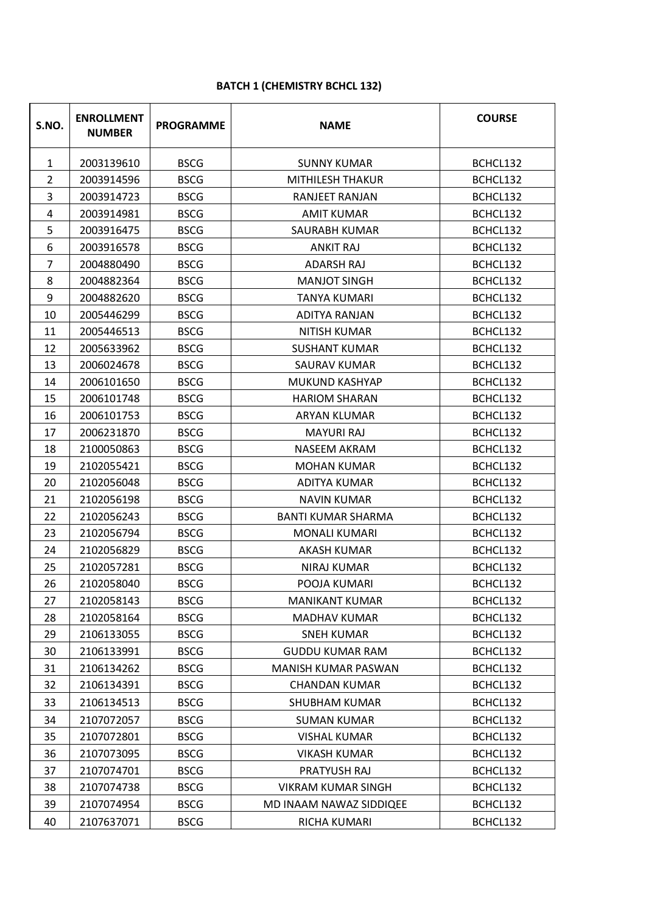| S.NO.        | <b>ENROLLMENT</b><br><b>NUMBER</b> | <b>PROGRAMME</b> | <b>NAME</b>                           | <b>COURSE</b> |
|--------------|------------------------------------|------------------|---------------------------------------|---------------|
| $\mathbf{1}$ | 2003139610                         | <b>BSCG</b>      | <b>SUNNY KUMAR</b>                    | BCHCL132      |
| 2            | 2003914596                         | <b>BSCG</b>      | MITHILESH THAKUR                      | BCHCL132      |
| 3            | 2003914723                         | <b>BSCG</b>      | RANJEET RANJAN                        | BCHCL132      |
| 4            | 2003914981                         | <b>BSCG</b>      | <b>AMIT KUMAR</b>                     | BCHCL132      |
| 5            | 2003916475                         | <b>BSCG</b>      | SAURABH KUMAR                         | BCHCL132      |
| 6            | 2003916578                         | <b>BSCG</b>      | <b>ANKIT RAJ</b>                      | BCHCL132      |
| 7            | 2004880490                         | <b>BSCG</b>      | <b>ADARSH RAJ</b>                     | BCHCL132      |
| 8            | 2004882364                         | <b>BSCG</b>      | <b>MANJOT SINGH</b>                   | BCHCL132      |
| 9            | 2004882620                         | <b>BSCG</b>      | <b>TANYA KUMARI</b>                   | BCHCL132      |
| 10           | 2005446299                         | <b>BSCG</b>      | ADITYA RANJAN                         | BCHCL132      |
| 11           | 2005446513                         | <b>BSCG</b>      | <b>NITISH KUMAR</b>                   | BCHCL132      |
| 12           | 2005633962                         | <b>BSCG</b>      | <b>SUSHANT KUMAR</b>                  | BCHCL132      |
| 13           | 2006024678                         | <b>BSCG</b>      | <b>SAURAV KUMAR</b>                   | BCHCL132      |
| 14           | 2006101650                         | <b>BSCG</b>      | MUKUND KASHYAP                        | BCHCL132      |
| 15           | 2006101748                         | <b>BSCG</b>      | <b>HARIOM SHARAN</b>                  | BCHCL132      |
| 16           | 2006101753                         | <b>BSCG</b>      | <b>ARYAN KLUMAR</b>                   | BCHCL132      |
| 17           | 2006231870                         | <b>BSCG</b>      | <b>MAYURI RAJ</b>                     | BCHCL132      |
| 18           | 2100050863                         | <b>BSCG</b>      | <b>NASEEM AKRAM</b>                   | BCHCL132      |
| 19           | 2102055421                         | <b>BSCG</b>      | <b>MOHAN KUMAR</b>                    | BCHCL132      |
| 20           | 2102056048                         | <b>BSCG</b>      | ADITYA KUMAR                          | BCHCL132      |
| 21           | 2102056198                         | <b>BSCG</b>      | <b>NAVIN KUMAR</b>                    | BCHCL132      |
| 22           | 2102056243                         | <b>BSCG</b>      | <b>BANTI KUMAR SHARMA</b>             | BCHCL132      |
| 23           | 2102056794                         | <b>BSCG</b>      | <b>MONALI KUMARI</b>                  | BCHCL132      |
| 24           | 2102056829                         | <b>BSCG</b>      | <b>AKASH KUMAR</b>                    | BCHCL132      |
| 25           | 2102057281                         | <b>BSCG</b>      | <b>NIRAJ KUMAR</b>                    | BCHCL132      |
| 26           | 2102058040                         | <b>BSCG</b>      | POOJA KUMARI                          | BCHCL132      |
| 27           | 2102058143                         | <b>BSCG</b>      | <b>MANIKANT KUMAR</b>                 | BCHCL132      |
| 28           | 2102058164                         | <b>BSCG</b>      | MADHAV KUMAR                          | BCHCL132      |
| 29           | 2106133055                         | <b>BSCG</b>      | <b>SNEH KUMAR</b>                     | BCHCL132      |
| 30           | 2106133991                         | <b>BSCG</b>      | <b>GUDDU KUMAR RAM</b>                | BCHCL132      |
| 31           | 2106134262                         | <b>BSCG</b>      | MANISH KUMAR PASWAN                   | BCHCL132      |
| 32           | 2106134391                         | <b>BSCG</b>      | CHANDAN KUMAR                         | BCHCL132      |
| 33           | 2106134513                         | <b>BSCG</b>      | <b>SHUBHAM KUMAR</b>                  | BCHCL132      |
| 34           | 2107072057                         | <b>BSCG</b>      | <b>SUMAN KUMAR</b>                    | BCHCL132      |
| 35           | 2107072801                         | <b>BSCG</b>      | <b>VISHAL KUMAR</b>                   | BCHCL132      |
| 36           | 2107073095                         | <b>BSCG</b>      | VIKASH KUMAR                          | BCHCL132      |
| 37           | 2107074701                         | <b>BSCG</b>      | PRATYUSH RAJ<br>BCHCL132              |               |
| 38           | 2107074738                         | <b>BSCG</b>      | <b>VIKRAM KUMAR SINGH</b><br>BCHCL132 |               |
| 39           | 2107074954                         | <b>BSCG</b>      | MD INAAM NAWAZ SIDDIQEE<br>BCHCL132   |               |
| 40           | 2107637071                         | <b>BSCG</b>      | RICHA KUMARI                          | BCHCL132      |

## **BATCH 1 (CHEMISTRY BCHCL 132)**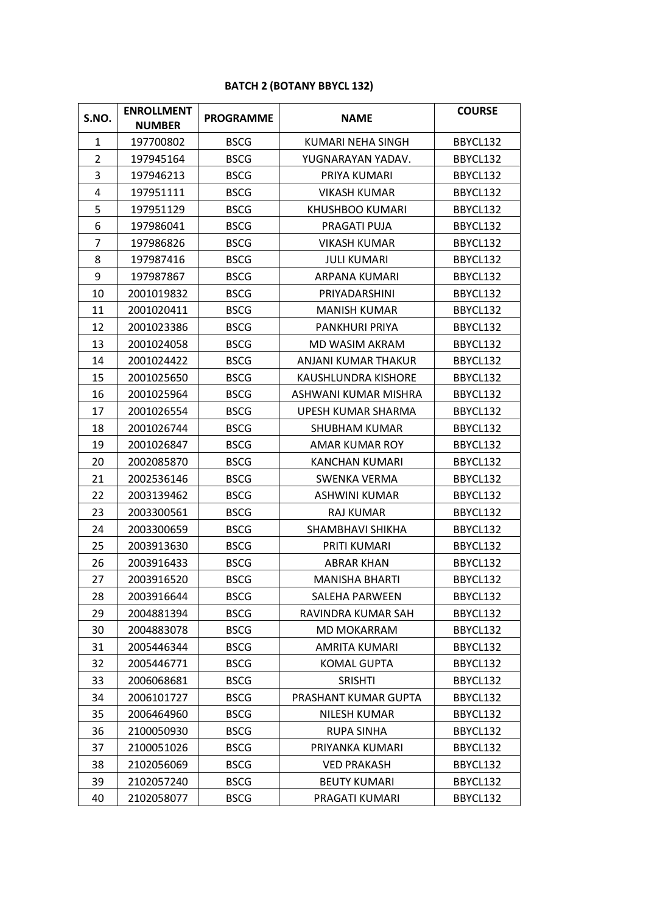## **BATCH 2 (BOTANY BBYCL 132)**

| S.NO.          | <b>ENROLLMENT</b><br><b>NUMBER</b> | <b>PROGRAMME</b> | <b>NAME</b>           | <b>COURSE</b> |
|----------------|------------------------------------|------------------|-----------------------|---------------|
| 1              | 197700802                          | <b>BSCG</b>      | KUMARI NEHA SINGH     | BBYCL132      |
| $\overline{2}$ | 197945164                          | <b>BSCG</b>      | YUGNARAYAN YADAV.     | BBYCL132      |
| 3              | 197946213                          | <b>BSCG</b>      | PRIYA KUMARI          | BBYCL132      |
| 4              | 197951111                          | <b>BSCG</b>      | <b>VIKASH KUMAR</b>   | BBYCL132      |
| 5              | 197951129                          | <b>BSCG</b>      | KHUSHBOO KUMARI       | BBYCL132      |
| 6              | 197986041                          | <b>BSCG</b>      | PRAGATI PUJA          | BBYCL132      |
| $\overline{7}$ | 197986826                          | <b>BSCG</b>      | <b>VIKASH KUMAR</b>   | BBYCL132      |
| 8              | 197987416                          | <b>BSCG</b>      | <b>JULI KUMARI</b>    | BBYCL132      |
| 9              | 197987867                          | <b>BSCG</b>      | ARPANA KUMARI         | BBYCL132      |
| 10             | 2001019832                         | <b>BSCG</b>      | PRIYADARSHINI         | BBYCL132      |
| 11             | 2001020411                         | <b>BSCG</b>      | <b>MANISH KUMAR</b>   | BBYCL132      |
| 12             | 2001023386                         | <b>BSCG</b>      | <b>PANKHURI PRIYA</b> | BBYCL132      |
| 13             | 2001024058                         | <b>BSCG</b>      | <b>MD WASIM AKRAM</b> | BBYCL132      |
| 14             | 2001024422                         | <b>BSCG</b>      | ANJANI KUMAR THAKUR   | BBYCL132      |
| 15             | 2001025650                         | <b>BSCG</b>      | KAUSHLUNDRA KISHORE   | BBYCL132      |
| 16             | 2001025964                         | <b>BSCG</b>      | ASHWANI KUMAR MISHRA  | BBYCL132      |
| 17             | 2001026554                         | <b>BSCG</b>      | UPESH KUMAR SHARMA    | BBYCL132      |
| 18             | 2001026744                         | <b>BSCG</b>      | <b>SHUBHAM KUMAR</b>  | BBYCL132      |
| 19             | 2001026847                         | <b>BSCG</b>      | AMAR KUMAR ROY        | BBYCL132      |
| 20             | 2002085870                         | <b>BSCG</b>      | <b>KANCHAN KUMARI</b> | BBYCL132      |
| 21             | 2002536146                         | <b>BSCG</b>      | SWENKA VERMA          | BBYCL132      |
| 22             | 2003139462                         | <b>BSCG</b>      | <b>ASHWINI KUMAR</b>  | BBYCL132      |
| 23             | 2003300561                         | <b>BSCG</b>      | <b>RAJ KUMAR</b>      | BBYCL132      |
| 24             | 2003300659                         | <b>BSCG</b>      | SHAMBHAVI SHIKHA      | BBYCL132      |
| 25             | 2003913630                         | <b>BSCG</b>      | <b>PRITI KUMARI</b>   | BBYCL132      |
| 26             | 2003916433                         | <b>BSCG</b>      | <b>ABRAR KHAN</b>     | BBYCL132      |
| 27             | 2003916520                         | <b>BSCG</b>      | <b>MANISHA BHARTI</b> | BBYCL132      |
| 28             | 2003916644                         | <b>BSCG</b>      | SALEHA PARWEEN        | BBYCL132      |
| 29             | 2004881394                         | <b>BSCG</b>      | RAVINDRA KUMAR SAH    | BBYCL132      |
| 30             | 2004883078                         | <b>BSCG</b>      | MD MOKARRAM           | BBYCL132      |
| 31             | 2005446344                         | <b>BSCG</b>      | AMRITA KUMARI         | BBYCL132      |
| 32             | 2005446771                         | <b>BSCG</b>      | <b>KOMAL GUPTA</b>    | BBYCL132      |
| 33             | 2006068681                         | <b>BSCG</b>      | <b>SRISHTI</b>        | BBYCL132      |
| 34             | 2006101727                         | <b>BSCG</b>      | PRASHANT KUMAR GUPTA  | BBYCL132      |
| 35             | 2006464960                         | <b>BSCG</b>      | NILESH KUMAR          | BBYCL132      |
| 36             | 2100050930                         | <b>BSCG</b>      | <b>RUPA SINHA</b>     | BBYCL132      |
| 37             | 2100051026                         | <b>BSCG</b>      | PRIYANKA KUMARI       | BBYCL132      |
| 38             | 2102056069                         | <b>BSCG</b>      | <b>VED PRAKASH</b>    | BBYCL132      |
| 39             | 2102057240                         | <b>BSCG</b>      | <b>BEUTY KUMARI</b>   | BBYCL132      |
| 40             | 2102058077                         | <b>BSCG</b>      | PRAGATI KUMARI        | BBYCL132      |